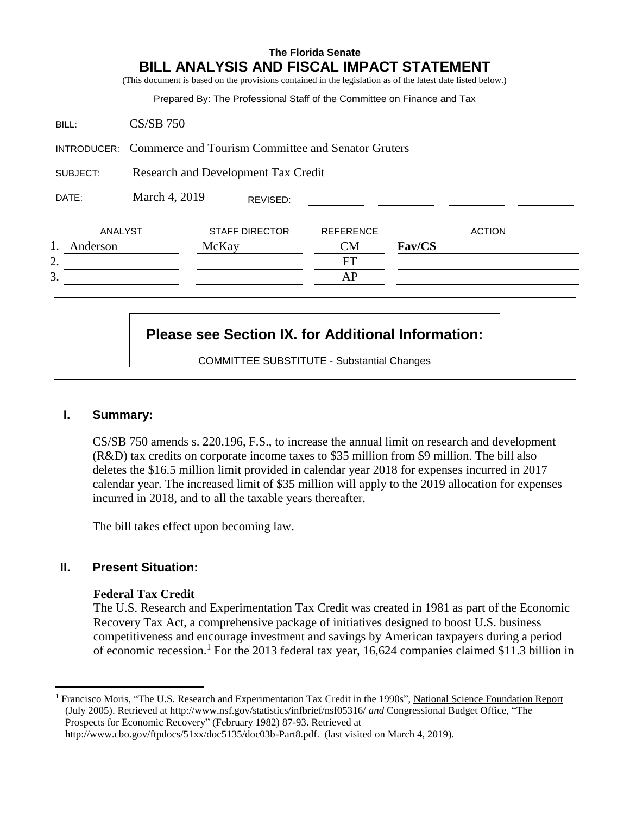# **The Florida Senate BILL ANALYSIS AND FISCAL IMPACT STATEMENT** (This document is based on the provisions contained in the legislation as of the latest date listed below.) Prepared By: The Professional Staff of the Committee on Finance and Tax BILL: CS/SB 750 INTRODUCER: Commerce and Tourism Committee and Senator Gruters SUBJECT: Research and Development Tax Credit DATE: March 4, 2019 ANALYST STAFF DIRECTOR REFERENCE ACTION 1. Anderson McKay CM **Fav/CS** 2. FT  $3.$  AP REVISED:

## **Please see Section IX. for Additional Information:**

COMMITTEE SUBSTITUTE - Substantial Changes

## **I. Summary:**

CS/SB 750 amends s. 220.196, F.S., to increase the annual limit on research and development (R&D) tax credits on corporate income taxes to \$35 million from \$9 million. The bill also deletes the \$16.5 million limit provided in calendar year 2018 for expenses incurred in 2017 calendar year. The increased limit of \$35 million will apply to the 2019 allocation for expenses incurred in 2018, and to all the taxable years thereafter.

The bill takes effect upon becoming law.

## **II. Present Situation:**

 $\overline{a}$ 

#### **Federal Tax Credit**

The U.S. Research and Experimentation Tax Credit was created in 1981 as part of the Economic Recovery Tax Act, a comprehensive package of initiatives designed to boost U.S. business competitiveness and encourage investment and savings by American taxpayers during a period of economic recession.<sup>1</sup> For the 2013 federal tax year, 16,624 companies claimed \$11.3 billion in

[http://www.cbo.gov/ftpdocs/51xx/doc5135/doc03b-Part8.pdf.](http://www.cbo.gov/ftpdocs/51xx/doc5135/doc03b-Part8.pdf) (last visited on March 4, 2019).

<sup>1</sup> Francisco Moris, "The U.S. Research and Experimentation Tax Credit in the 1990s", National Science Foundation Report (July 2005). Retrieved at<http://www.nsf.gov/statistics/infbrief/nsf05316/> *and* Congressional Budget Office, "The Prospects for Economic Recovery" (February 1982) 87-93. Retrieved at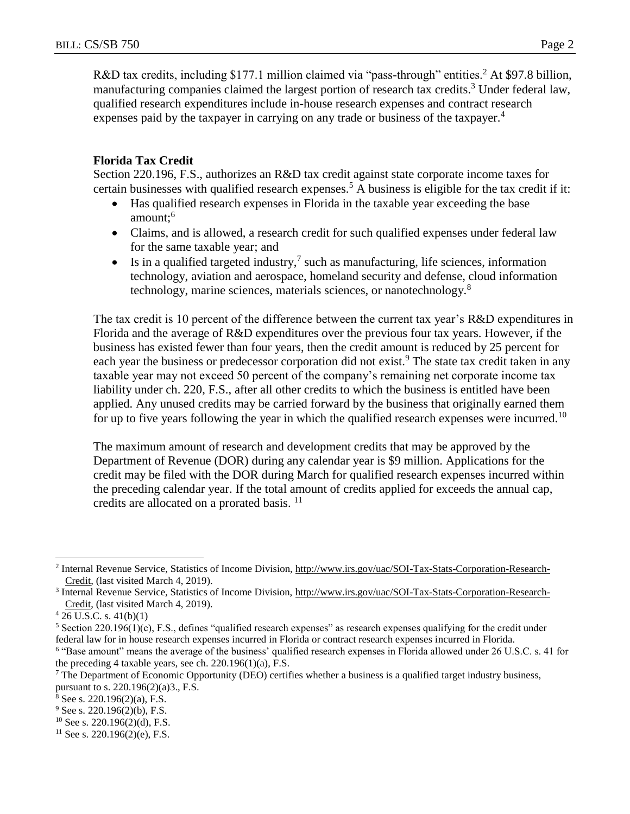R&D tax credits, including \$177.1 million claimed via "pass-through" entities.<sup>2</sup> At \$97.8 billion, manufacturing companies claimed the largest portion of research tax credits.<sup>3</sup> Under federal law, qualified research expenditures include in-house research expenses and contract research expenses paid by the taxpayer in carrying on any trade or business of the taxpayer.<sup>4</sup>

#### **Florida Tax Credit**

Section 220.196, F.S., authorizes an R&D tax credit against state corporate income taxes for certain businesses with qualified research expenses.<sup>5</sup> A business is eligible for the tax credit if it:

- Has qualified research expenses in Florida in the taxable year exceeding the base amount;<sup>6</sup>
- Claims, and is allowed, a research credit for such qualified expenses under federal law for the same taxable year; and
- $\bullet$  Is in a qualified targeted industry,<sup>7</sup> such as manufacturing, life sciences, information technology, aviation and aerospace, homeland security and defense, cloud information technology, marine sciences, materials sciences, or nanotechnology.<sup>8</sup>

The tax credit is 10 percent of the difference between the current tax year's R&D expenditures in Florida and the average of R&D expenditures over the previous four tax years. However, if the business has existed fewer than four years, then the credit amount is reduced by 25 percent for each year the business or predecessor corporation did not exist.<sup>9</sup> The state tax credit taken in any taxable year may not exceed 50 percent of the company's remaining net corporate income tax liability under ch. 220, F.S., after all other credits to which the business is entitled have been applied. Any unused credits may be carried forward by the business that originally earned them for up to five years following the year in which the qualified research expenses were incurred.<sup>10</sup>

The maximum amount of research and development credits that may be approved by the Department of Revenue (DOR) during any calendar year is \$9 million. Applications for the credit may be filed with the DOR during March for qualified research expenses incurred within the preceding calendar year. If the total amount of credits applied for exceeds the annual cap, credits are allocated on a prorated basis. <sup>11</sup>

- $9$  See s. 220.196(2)(b), F.S.
- $10$  See s. 220.196(2)(d), F.S.

 $\overline{a}$ <sup>2</sup> Internal Revenue Service, Statistics of Income Division, http://www.irs.gov/uac/SOI-Tax-Stats-Corporation-Research-Credit, (last visited March 4, 2019).

<sup>&</sup>lt;sup>3</sup> Internal Revenue Service, Statistics of Income Division, http://www.irs.gov/uac/SOI-Tax-Stats-Corporation-Research-Credit, (last visited March 4, 2019).

 $4\overline{26}$  U.S.C. s.  $41(b)(1)$ 

 $5$  Section 220.196(1)(c), F.S., defines "qualified research expenses" as research expenses qualifying for the credit under federal law for in house research expenses incurred in Florida or contract research expenses incurred in Florida.

<sup>&</sup>lt;sup>6</sup> "Base amount" means the average of the business' qualified research expenses in Florida allowed under 26 U.S.C. s. 41 for the preceding 4 taxable years, see ch. 220.196(1)(a), F.S.

<sup>&</sup>lt;sup>7</sup> The Department of Economic Opportunity (DEO) certifies whether a business is a qualified target industry business, pursuant to s. 220.196(2)(a)3., F.S.

 $8$  See s. 220.196(2)(a), F.S.

 $11$  See s. 220.196(2)(e), F.S.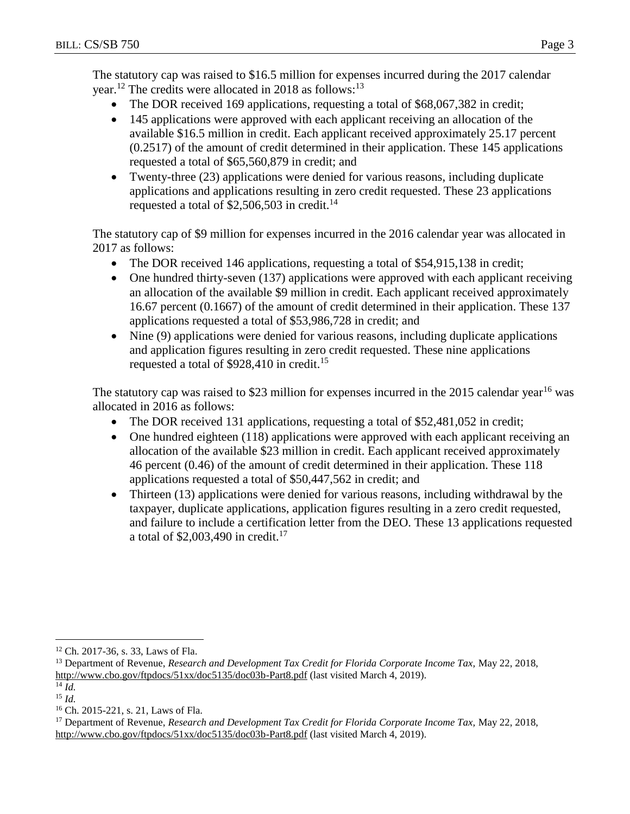The statutory cap was raised to \$16.5 million for expenses incurred during the 2017 calendar year.<sup>12</sup> The credits were allocated in 2018 as follows:<sup>13</sup>

- The DOR received 169 applications, requesting a total of \$68,067,382 in credit;
- 145 applications were approved with each applicant receiving an allocation of the available \$16.5 million in credit. Each applicant received approximately 25.17 percent (0.2517) of the amount of credit determined in their application. These 145 applications requested a total of \$65,560,879 in credit; and
- Twenty-three (23) applications were denied for various reasons, including duplicate applications and applications resulting in zero credit requested. These 23 applications requested a total of  $$2,506,503$  in credit.<sup>14</sup>

The statutory cap of \$9 million for expenses incurred in the 2016 calendar year was allocated in 2017 as follows:

- The DOR received 146 applications, requesting a total of \$54,915,138 in credit;
- One hundred thirty-seven (137) applications were approved with each applicant receiving an allocation of the available \$9 million in credit. Each applicant received approximately 16.67 percent (0.1667) of the amount of credit determined in their application. These 137 applications requested a total of \$53,986,728 in credit; and
- Nine (9) applications were denied for various reasons, including duplicate applications and application figures resulting in zero credit requested. These nine applications requested a total of \$928,410 in credit.<sup>15</sup>

The statutory cap was raised to \$23 million for expenses incurred in the 2015 calendar year<sup>16</sup> was allocated in 2016 as follows:

- The DOR received 131 applications, requesting a total of \$52,481,052 in credit;
- One hundred eighteen (118) applications were approved with each applicant receiving an allocation of the available \$23 million in credit. Each applicant received approximately 46 percent (0.46) of the amount of credit determined in their application. These 118 applications requested a total of \$50,447,562 in credit; and
- Thirteen (13) applications were denied for various reasons, including withdrawal by the taxpayer, duplicate applications, application figures resulting in a zero credit requested, and failure to include a certification letter from the DEO. These 13 applications requested a total of  $$2,003,490$  in credit.<sup>17</sup>

 $\overline{a}$ 

<sup>12</sup> Ch. 2017-36, s. 33, Laws of Fla.

<sup>&</sup>lt;sup>13</sup> Department of Revenue, *Research and Development Tax Credit for Florida Corporate Income Tax*, May 22, 2018, http://www<u>.cbo.gov/ftpdocs/51xx/doc5135/doc03b-Part8.pdf</u> (last visited March 4, 2019).

<sup>14</sup> *Id.* <sup>15</sup> *Id.*

<sup>16</sup> Ch. 2015-221, s. 21, Laws of Fla.

<sup>&</sup>lt;sup>17</sup> Department of Revenue, *Research and Development Tax Credit for Florida Corporate Income Tax, May 22, 2018*, <http://www.cbo.gov/ftpdocs/51xx/doc5135/doc03b-Part8.pdf> (last visited March 4, 2019).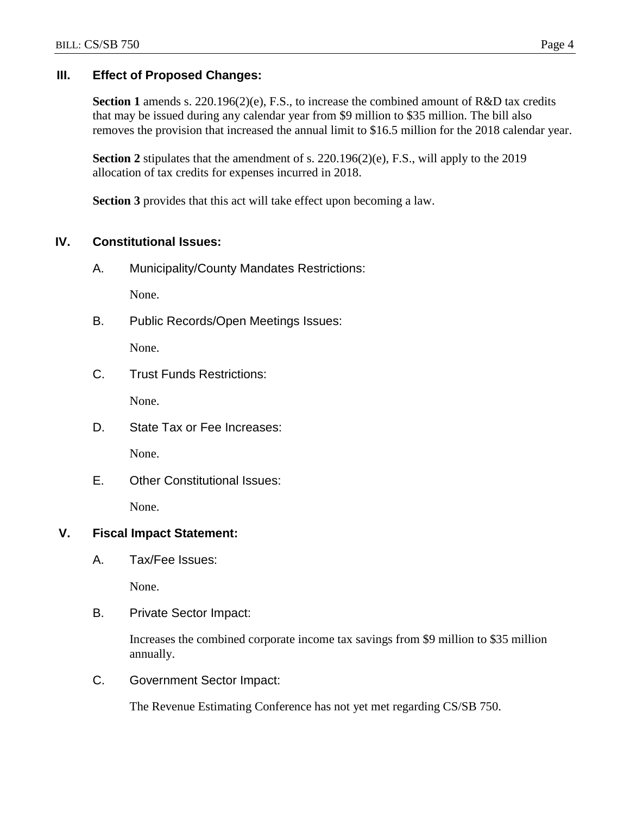## **III. Effect of Proposed Changes:**

Section 1 amends s. 220.196(2)(e), F.S., to increase the combined amount of R&D tax credits that may be issued during any calendar year from \$9 million to \$35 million. The bill also removes the provision that increased the annual limit to \$16.5 million for the 2018 calendar year.

**Section 2** stipulates that the amendment of s. 220.196(2)(e), F.S., will apply to the 2019 allocation of tax credits for expenses incurred in 2018.

**Section 3** provides that this act will take effect upon becoming a law.

## **IV. Constitutional Issues:**

A. Municipality/County Mandates Restrictions:

None.

B. Public Records/Open Meetings Issues:

None.

C. Trust Funds Restrictions:

None.

D. State Tax or Fee Increases:

None.

E. Other Constitutional Issues:

None.

## **V. Fiscal Impact Statement:**

A. Tax/Fee Issues:

None.

B. Private Sector Impact:

Increases the combined corporate income tax savings from \$9 million to \$35 million annually.

C. Government Sector Impact:

The Revenue Estimating Conference has not yet met regarding CS/SB 750.